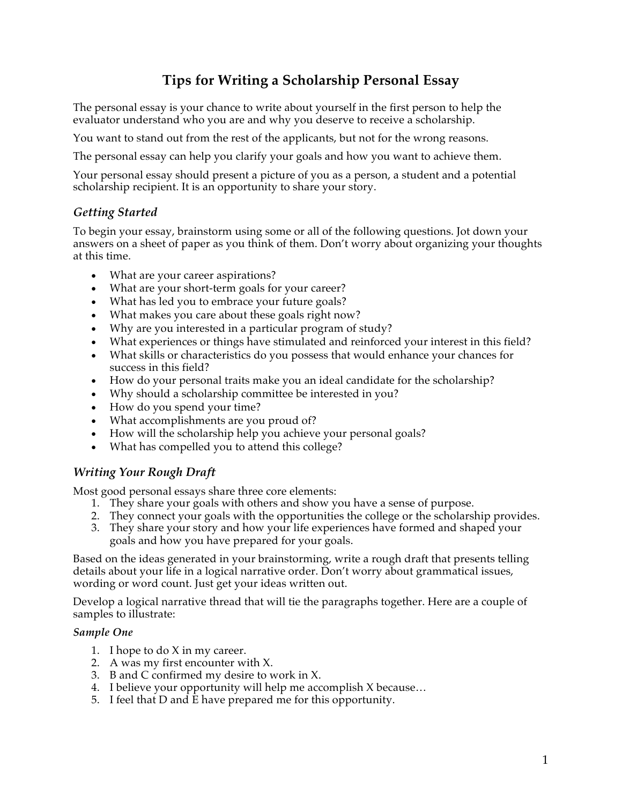# **Tips for Writing a Scholarship Personal Essay**

The personal essay is your chance to write about yourself in the first person to help the evaluator understand who you are and why you deserve to receive a scholarship.

You want to stand out from the rest of the applicants, but not for the wrong reasons.

The personal essay can help you clarify your goals and how you want to achieve them.

Your personal essay should present a picture of you as a person, a student and a potential scholarship recipient. It is an opportunity to share your story.

# *Getting Started*

To begin your essay, brainstorm using some or all of the following questions. Jot down your answers on a sheet of paper as you think of them. Don't worry about organizing your thoughts at this time.

- What are your career aspirations?
- What are your short-term goals for your career?
- What has led you to embrace your future goals?
- What makes you care about these goals right now?
- Why are you interested in a particular program of study?
- What experiences or things have stimulated and reinforced your interest in this field?
- What skills or characteristics do you possess that would enhance your chances for success in this field?
- How do your personal traits make you an ideal candidate for the scholarship?
- Why should a scholarship committee be interested in you?
- How do you spend your time?
- What accomplishments are you proud of?
- How will the scholarship help you achieve your personal goals?
- What has compelled you to attend this college?

# *Writing Your Rough Draft*

Most good personal essays share three core elements:

- 1. They share your goals with others and show you have a sense of purpose.
- 2. They connect your goals with the opportunities the college or the scholarship provides.
- 3. They share your story and how your life experiences have formed and shaped your goals and how you have prepared for your goals.

Based on the ideas generated in your brainstorming, write a rough draft that presents telling details about your life in a logical narrative order. Don't worry about grammatical issues, wording or word count. Just get your ideas written out.

Develop a logical narrative thread that will tie the paragraphs together. Here are a couple of samples to illustrate:

#### *Sample One*

- 1. I hope to do X in my career.
- 2. A was my first encounter with X.
- 3. B and C confirmed my desire to work in X.
- 4. I believe your opportunity will help me accomplish X because…
- 5. I feel that D and E have prepared me for this opportunity.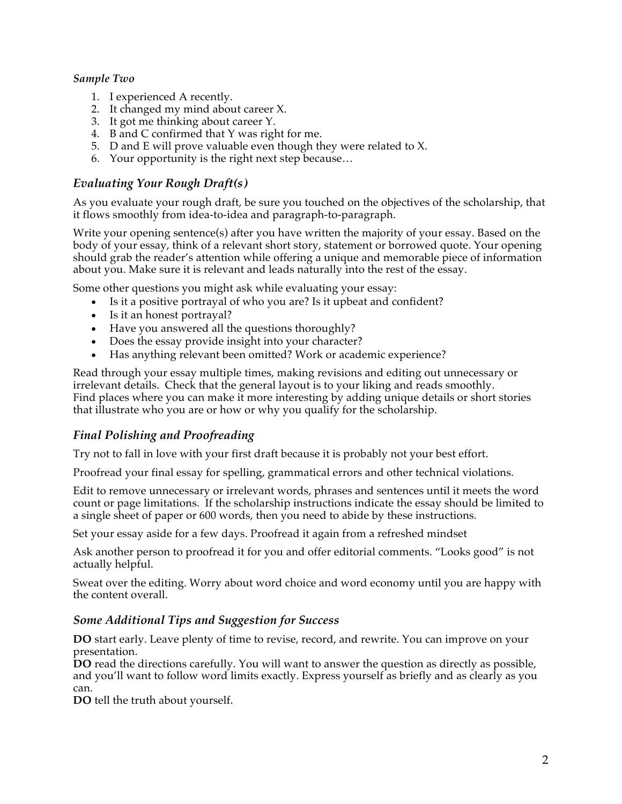## *Sample Two*

- 1. I experienced A recently.
- 2. It changed my mind about career X.
- 3. It got me thinking about career Y.
- 4. B and C confirmed that Y was right for me.
- 5. D and E will prove valuable even though they were related to X.
- 6. Your opportunity is the right next step because…

## *Evaluating Your Rough Draft(s)*

As you evaluate your rough draft, be sure you touched on the objectives of the scholarship, that it flows smoothly from idea-to-idea and paragraph-to-paragraph.

Write your opening sentence(s) after you have written the majority of your essay. Based on the body of your essay, think of a relevant short story, statement or borrowed quote. Your opening should grab the reader's attention while offering a unique and memorable piece of information about you. Make sure it is relevant and leads naturally into the rest of the essay.

Some other questions you might ask while evaluating your essay:

- Is it a positive portrayal of who you are? Is it upbeat and confident?
- Is it an honest portrayal?
- Have you answered all the questions thoroughly?
- Does the essay provide insight into your character?
- Has anything relevant been omitted? Work or academic experience?

Read through your essay multiple times, making revisions and editing out unnecessary or irrelevant details. Check that the general layout is to your liking and reads smoothly. Find places where you can make it more interesting by adding unique details or short stories that illustrate who you are or how or why you qualify for the scholarship.

## *Final Polishing and Proofreading*

Try not to fall in love with your first draft because it is probably not your best effort.

Proofread your final essay for spelling, grammatical errors and other technical violations.

Edit to remove unnecessary or irrelevant words, phrases and sentences until it meets the word count or page limitations. If the scholarship instructions indicate the essay should be limited to a single sheet of paper or 600 words, then you need to abide by these instructions.

Set your essay aside for a few days. Proofread it again from a refreshed mindset

Ask another person to proofread it for you and offer editorial comments. "Looks good" is not actually helpful.

Sweat over the editing. Worry about word choice and word economy until you are happy with the content overall.

## *Some Additional Tips and Suggestion for Success*

**DO** start early. Leave plenty of time to revise, record, and rewrite. You can improve on your presentation.

**DO** read the directions carefully. You will want to answer the question as directly as possible, and you'll want to follow word limits exactly. Express yourself as briefly and as clearly as you can.

**DO** tell the truth about yourself.